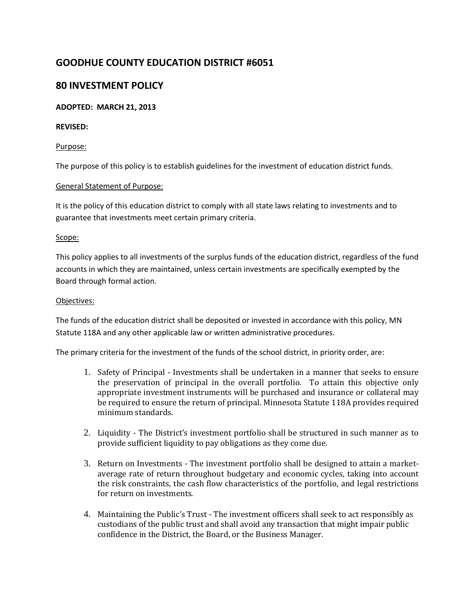# **GOODHUE COUNTY EDUCATION DISTRICT #6051**

# **80 INVESTMENT POLICY**

### **ADOPTED: MARCH 21, 2013**

### **REVISED:**

#### Purpose:

The purpose of this policy is to establish guidelines for the investment of education district funds.

#### General Statement of Purpose:

It is the policy of this education district to comply with all state laws relating to investments and to guarantee that investments meet certain primary criteria.

#### Scope:

This policy applies to all investments of the surplus funds of the education district, regardless of the fund accounts in which they are maintained, unless certain investments are specifically exempted by the Board through formal action.

#### Objectives:

The funds of the education district shall be deposited or invested in accordance with this policy, MN Statute 118A and any other applicable law or written administrative procedures.

The primary criteria for the investment of the funds of the school district, in priority order, are:

- 1. Safety of Principal Investments shall be undertaken in a manner that seeks to ensure the preservation of principal in the overall portfolio. To attain this objective only appropriate investment instruments will be purchased and insurance or collateral may be required to ensure the return of principal. Minnesota Statute 118A provides required minimum standards.
- 2. Liquidity The District's investment portfolio shall be structured in such manner as to provide sufficient liquidity to pay obligations as they come due.
- 3. Return on Investments The investment portfolio shall be designed to attain a marketaverage rate of return throughout budgetary and economic cycles, taking into account the risk constraints, the cash flow characteristics of the portfolio, and legal restrictions for return on investments.
- 4. Maintaining the Public's Trust The investment officers shall seek to act responsibly as custodians of the public trust and shall avoid any transaction that might impair public confidence in the District, the Board, or the Business Manager.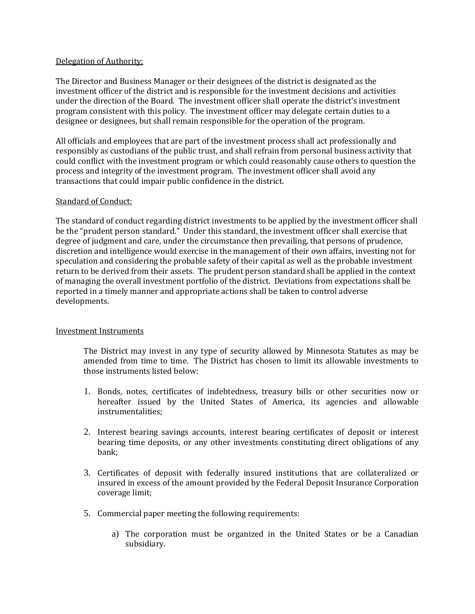#### Delegation of Authority:

The Director and Business Manager or their designees of the district is designated as the investment officer of the district and is responsible for the investment decisions and activities under the direction of the Board. The investment officer shall operate the district's investment program consistent with this policy. The investment officer may delegate certain duties to a designee or designees, but shall remain responsible for the operation of the program.

All officials and employees that are part of the investment process shall act professionally and responsibly as custodians of the public trust, and shall refrain from personal business activity that could conflict with the investment program or which could reasonably cause others to question the process and integrity of the investment program. The investment officer shall avoid any transactions that could impair public confidence in the district.

### Standard of Conduct:

The standard of conduct regarding district investments to be applied by the investment officer shall be the "prudent person standard." Under this standard, the investment officer shall exercise that degree of judgment and care, under the circumstance then prevailing, that persons of prudence, discretion and intelligence would exercise in the management of their own affairs, investing not for speculation and considering the probable safety of their capital as well as the probable investment return to be derived from their assets. The prudent person standard shall be applied in the context of managing the overall investment portfolio of the district. Deviations from expectations shall be reported in a timely manner and appropriate actions shall be taken to control adverse developments.

# Investment Instruments

The District may invest in any type of security allowed by Minnesota Statutes as may be amended from time to time. The District has chosen to limit its allowable investments to those instruments listed below:

- 1. Bonds, notes, certificates of indebtedness, treasury bills or other securities now or hereafter issued by the United States of America, its agencies and allowable instrumentalities;
- 2. Interest bearing savings accounts, interest bearing certificates of deposit or interest bearing time deposits, or any other investments constituting direct obligations of any bank;
- 3. Certificates of deposit with federally insured institutions that are collateralized or insured in excess of the amount provided by the Federal Deposit Insurance Corporation coverage limit;
- 5. Commercial paper meeting the following requirements:
	- a) The corporation must be organized in the United States or be a Canadian subsidiary.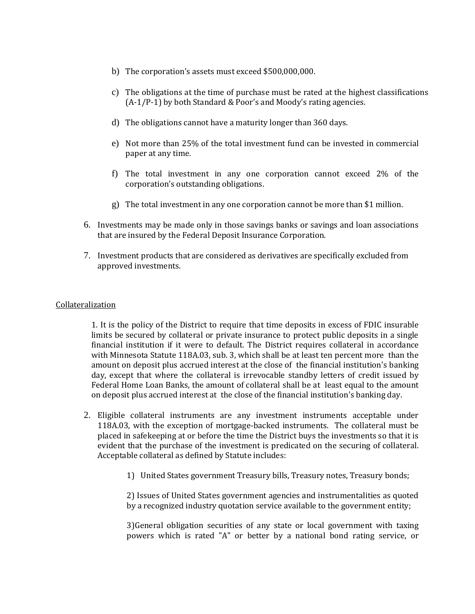- b) The corporation's assets must exceed \$500,000,000.
- c) The obligations at the time of purchase must be rated at the highest classifications (A-1/P-1) by both Standard & Poor's and Moody's rating agencies.
- d) The obligations cannot have a maturity longer than 360 days.
- e) Not more than 25% of the total investment fund can be invested in commercial paper at any time.
- f) The total investment in any one corporation cannot exceed 2% of the corporation's outstanding obligations.
- g) The total investment in any one corporation cannot be more than \$1 million.
- 6. Investments may be made only in those savings banks or savings and loan associations that are insured by the Federal Deposit Insurance Corporation.
- 7. Investment products that are considered as derivatives are specifically excluded from approved investments.

#### Collateralization

1. It is the policy of the District to require that time deposits in excess of FDIC insurable limits be secured by collateral or private insurance to protect public deposits in a single financial institution if it were to default. The District requires collateral in accordance with Minnesota Statute 118A.03, sub. 3, which shall be at least ten percent more than the amount on deposit plus accrued interest at the close of the financial institution's banking day, except that where the collateral is irrevocable standby letters of credit issued by Federal Home Loan Banks, the amount of collateral shall be at least equal to the amount on deposit plus accrued interest at the close of the financial institution's banking day.

- 2. Eligible collateral instruments are any investment instruments acceptable under 118A.03, with the exception of mortgage-backed instruments. The collateral must be placed in safekeeping at or before the time the District buys the investments so that it is evident that the purchase of the investment is predicated on the securing of collateral. Acceptable collateral as defined by Statute includes:
	- 1) United States government Treasury bills, Treasury notes, Treasury bonds;

2) Issues of United States government agencies and instrumentalities as quoted by a recognized industry quotation service available to the government entity;

3)General obligation securities of any state or local government with taxing powers which is rated "A" or better by a national bond rating service, or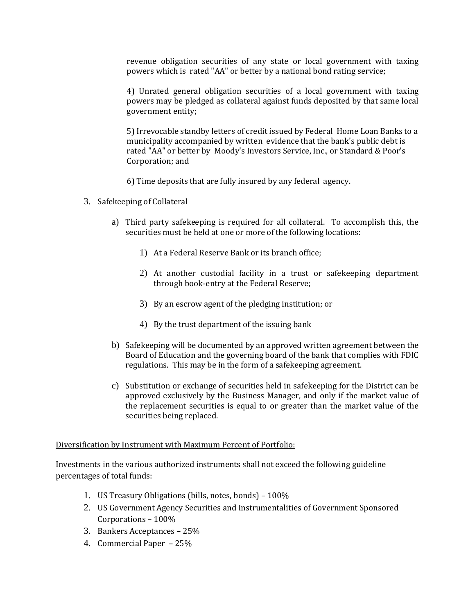revenue obligation securities of any state or local government with taxing powers which is rated "AA" or better by a national bond rating service;

4) Unrated general obligation securities of a local government with taxing powers may be pledged as collateral against funds deposited by that same local government entity;

5) Irrevocable standby letters of credit issued by Federal Home Loan Banks to a municipality accompanied by written evidence that the bank's public debt is rated "AA" or better by Moody's Investors Service, Inc., or Standard & Poor's Corporation; and

6) Time deposits that are fully insured by any federal agency.

- 3. Safekeeping of Collateral
	- a) Third party safekeeping is required for all collateral. To accomplish this, the securities must be held at one or more of the following locations:
		- 1) At a Federal Reserve Bank or its branch office;
		- 2) At another custodial facility in a trust or safekeeping department through book-entry at the Federal Reserve;
		- 3) By an escrow agent of the pledging institution; or
		- 4) By the trust department of the issuing bank
	- b) Safekeeping will be documented by an approved written agreement between the Board of Education and the governing board of the bank that complies with FDIC regulations. This may be in the form of a safekeeping agreement.
	- c) Substitution or exchange of securities held in safekeeping for the District can be approved exclusively by the Business Manager, and only if the market value of the replacement securities is equal to or greater than the market value of the securities being replaced.

#### Diversification by Instrument with Maximum Percent of Portfolio:

Investments in the various authorized instruments shall not exceed the following guideline percentages of total funds:

- 1. US Treasury Obligations (bills, notes, bonds) 100%
- 2. US Government Agency Securities and Instrumentalities of Government Sponsored Corporations – 100%
- 3. Bankers Acceptances 25%
- 4. Commercial Paper 25%